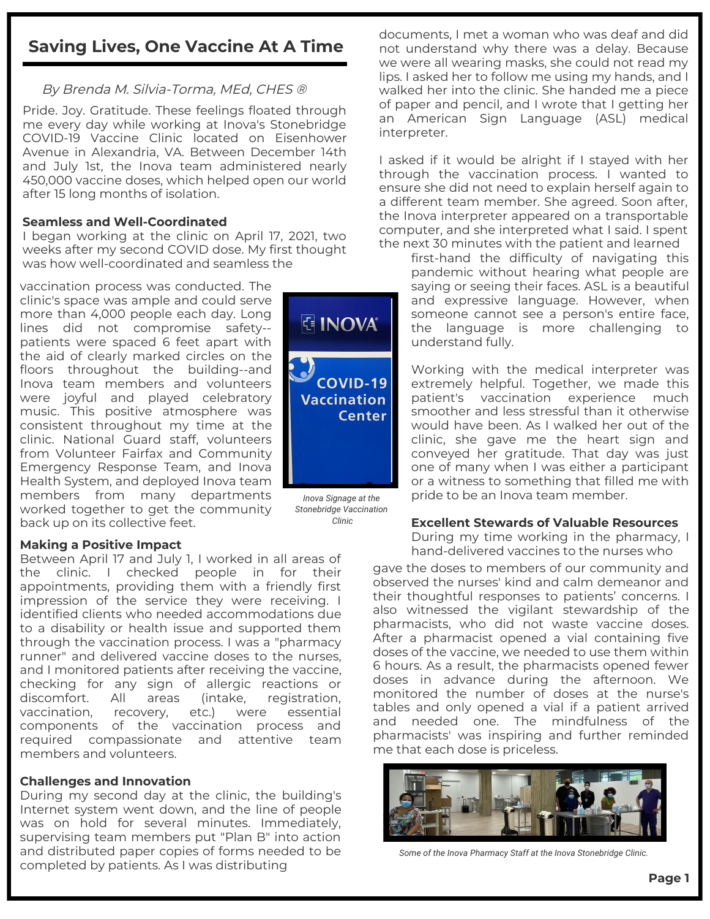# **Saving Lives, One Vaccine At A Time**

# By Brenda M. Silvia-Torma, MEd, CHES ®

Pride. Joy. Gratitude. These feelings floated through me every day while working at Inova's Stonebridge COVID-19 Vaccine Clinic located on Eisenhower Avenue in Alexandria, VA. Between December 14th and July 1st, the Inova team administered nearly 450,000 vaccine doses, which helped open our world after 15 long months of isolation.

## **Seamless and Well-Coordinated**

I began working at the clinic on April 17, 2021, two weeks after my second COVID dose. My first thought was how well-coordinated and seamless the

vaccination process was conducted. The clinic's space was ample and could serve more than 4,000 people each day. Long lines did not compromise safety- patients were spaced 6 feet apart with the aid of clearly marked circles on the floors throughout the building--and Inova team members and volunteers were joyful and played celebratory music. This positive atmosphere was consistent throughout my time at the clinic. National Guard staff, volunteers from Volunteer Fairfax and Community Emergency Response Team, and Inova Health System, and deployed Inova team members from many departments worked together to get the community back up on its collective feet.

## **Making a Positive Impact**

Between April 17 and July 1, I worked in all areas of the clinic. I checked people in for their appointments, providing them with a friendly first impression of the service they were receiving. I identified clients who needed accommodations due to a disability or health issue and supported them through the vaccination process. I was a "pharmacy runner" and delivered vaccine doses to the nurses, and I monitored patients after receiving the vaccine, checking for any sign of allergic reactions or discomfort. All areas (intake, registration, vaccination, recovery, etc.) were essential components of the vaccination process and required compassionate and attentive team members and volunteers.

### **Challenges and Innovation**

During my second day at the clinic, the building's Internet system went down, and the line of people was on hold for several minutes. Immediately, supervising team members put "Plan B" into action and distributed paper copies of forms needed to be completed by patients. As I was distributing



*Stonebridge Vaccination Clinic*

documents, I met a woman who was deaf and did not understand why there was a delay. Because we were all wearing masks, she could not read my lips. I asked her to follow me using my hands, and I walked her into the clinic. She handed me a piece of paper and pencil, and I wrote that I getting her an American Sign Language (ASL) medical interpreter.

I asked if it would be alright if I stayed with her through the vaccination process. I wanted to ensure she did not need to explain herself again to a different team member. She agreed. Soon after, the Inova interpreter appeared on a transportable computer, and she interpreted what I said. I spent the next 30 minutes with the patient and learned

first-hand the difficulty of navigating this pandemic without hearing what people are saying or seeing their faces. ASL is a beautiful and expressive language. However, when someone cannot see a person's entire face, the language is more challenging to understand fully.

Working with the medical interpreter was extremely helpful. Together, we made this patient's vaccination experience much smoother and less stressful than it otherwise would have been. As I walked her out of the clinic, she gave me the heart sign and conveyed her gratitude. That day was just one of many when I was either a participant or a witness to something that filled me with pride to be an Inova team member.

### **Excellent Stewards of Valuable Resources**

During my time working in the pharmacy, I hand-delivered vaccines to the nurses who

gave the doses to members of our community and observed the nurses' kind and calm demeanor and their thoughtful responses to patients' concerns. I also witnessed the vigilant stewardship of the pharmacists, who did not waste vaccine doses. After a pharmacist opened a vial containing five doses of the vaccine, we needed to use them within 6 hours. As a result, the pharmacists opened fewer doses in advance during the afternoon. We monitored the number of doses at the nurse's tables and only opened a vial if a patient arrived and needed one. The mindfulness of the pharmacists' was inspiring and further reminded me that each dose is priceless.



*Some of the Inova Pharmacy Staff at the Inova Stonebridge Clinic.*